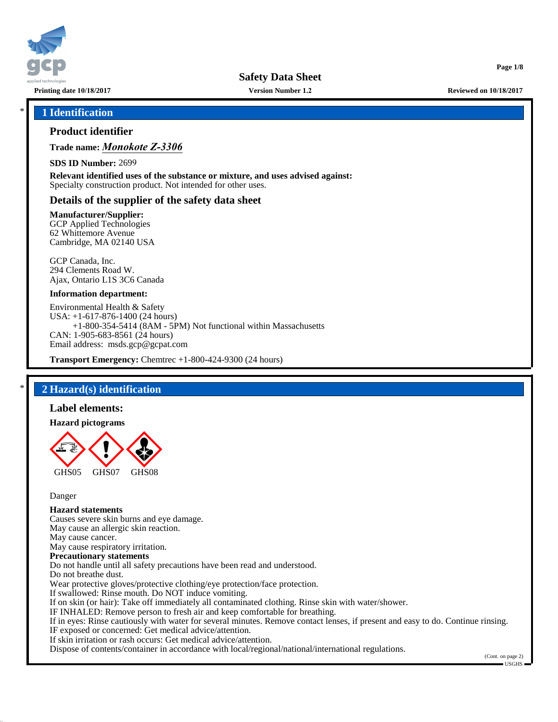

**Version Number 1.2**

**Printing date 10/18/2017 Reviewed on 10/18/2017**

**Page 1/8**

## \* **1 Identification**

## **Product identifier**

## **Trade name:** *Monokote Z-3306*

**SDS ID Number:** 2699

**Relevant identified uses of the substance or mixture, and uses advised against:** Specialty construction product. Not intended for other uses.

## **Details of the supplier of the safety data sheet**

#### **Manufacturer/Supplier:**

GCP Applied Technologies 62 Whittemore Avenue Cambridge, MA 02140 USA

GCP Canada, Inc. 294 Clements Road W. Ajax, Ontario L1S 3C6 Canada

#### **Information department:**

Environmental Health & Safety USA: +1-617-876-1400 (24 hours) +1-800-354-5414 (8AM - 5PM) Not functional within Massachusetts CAN: 1-905-683-8561 (24 hours) Email address: msds.gcp@gcpat.com

**Transport Emergency:** Chemtrec +1-800-424-9300 (24 hours)

## \* **2 Hazard(s) identification**

#### **Label elements:**

#### **Hazard pictograms**



Danger

# **Hazard statements**

Causes severe skin burns and eye damage. May cause an allergic skin reaction. May cause cancer. May cause respiratory irritation. **Precautionary statements** Do not handle until all safety precautions have been read and understood. Do not breathe dust. Wear protective gloves/protective clothing/eye protection/face protection. If swallowed: Rinse mouth. Do NOT induce vomiting. If on skin (or hair): Take off immediately all contaminated clothing. Rinse skin with water/shower. IF INHALED: Remove person to fresh air and keep comfortable for breathing. If in eyes: Rinse cautiously with water for several minutes. Remove contact lenses, if present and easy to do. Continue rinsing. IF exposed or concerned: Get medical advice/attention. If skin irritation or rash occurs: Get medical advice/attention.

Dispose of contents/container in accordance with local/regional/national/international regulations.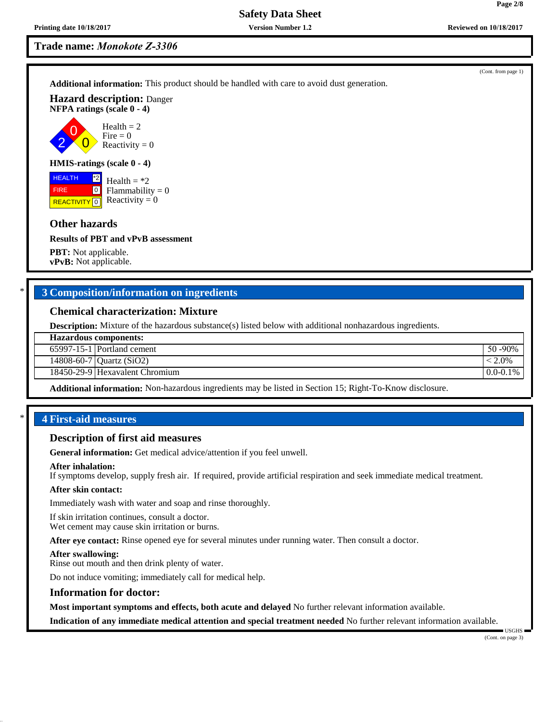2 0

FIRE

**Version Number 1.2**

**Trade name:** *Monokote Z-3306*

**Additional information:** This product should be handled with care to avoid dust generation.

**Hazard description:** Danger **NFPA ratings (scale 0 - 4)**

> $\overline{0}$  $Health = 2$ Fire  $= 0$ Reactivity  $= 0$

### **HMIS-ratings (scale 0 - 4)**

**HEALTH REACTIVITY** 0 \*2  $\boxed{0}$ Health  $=$  \*2  $Flammability = 0$ Reactivity  $= 0$ 

## **Other hazards**

#### **Results of PBT and vPvB assessment**

**PBT:** Not applicable. **vPvB:** Not applicable.

## \* **3 Composition/information on ingredients**

## **Chemical characterization: Mixture**

**Description:** Mixture of the hazardous substance(s) listed below with additional nonhazardous ingredients.

| <b>Hazardous components:</b> |  |
|------------------------------|--|
|------------------------------|--|

| $65997-15-1$ Portland cement | 50 -90% |
|------------------------------|---------|
|------------------------------|---------|

14808-60-7 Quartz (SiO2) < 2.0%

18450-29-9 Hexavalent Chromium and the control of the control of the control of the control of the control of the control of the control of the control of the control of the control of the control of the control of the con

**Additional information:** Non-hazardous ingredients may be listed in Section 15; Right-To-Know disclosure.

## \* **4 First-aid measures**

#### **Description of first aid measures**

**General information:** Get medical advice/attention if you feel unwell.

#### **After inhalation:**

If symptoms develop, supply fresh air. If required, provide artificial respiration and seek immediate medical treatment.

#### **After skin contact:**

Immediately wash with water and soap and rinse thoroughly.

If skin irritation continues, consult a doctor. Wet cement may cause skin irritation or burns.

**After eye contact:** Rinse opened eye for several minutes under running water. Then consult a doctor.

#### **After swallowing:**

Rinse out mouth and then drink plenty of water.

Do not induce vomiting; immediately call for medical help.

#### **Information for doctor:**

**Most important symptoms and effects, both acute and delayed** No further relevant information available.

**Indication of any immediate medical attention and special treatment needed** No further relevant information available.

(Cont. from page 1)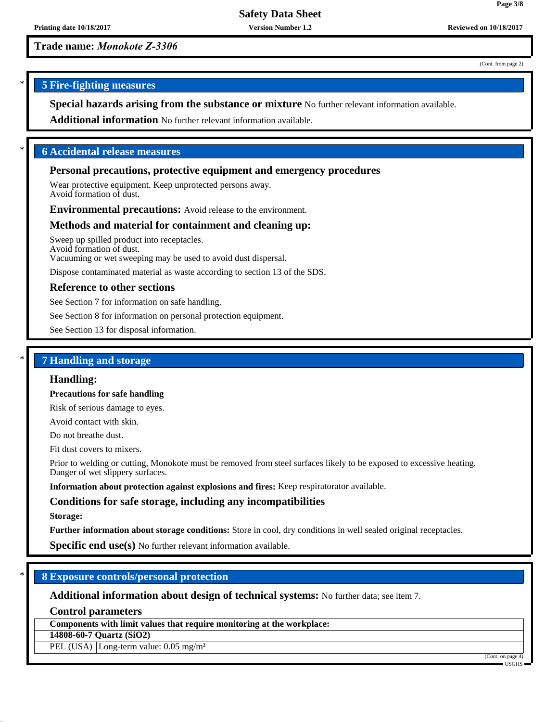**Version Number 1.2**

**Trade name:** *Monokote Z-3306*

(Cont. from page 2)

**Page 3/8**

## \* **5 Fire-fighting measures**

**Special hazards arising from the substance or mixture** No further relevant information available.

**Additional information** No further relevant information available.

## \* **6 Accidental release measures**

## **Personal precautions, protective equipment and emergency procedures**

Wear protective equipment. Keep unprotected persons away. Avoid formation of dust.

**Environmental precautions:** Avoid release to the environment.

### **Methods and material for containment and cleaning up:**

Sweep up spilled product into receptacles. Avoid formation of dust. Vacuuming or wet sweeping may be used to avoid dust dispersal.

Dispose contaminated material as waste according to section 13 of the SDS.

## **Reference to other sections**

See Section 7 for information on safe handling.

See Section 8 for information on personal protection equipment.

See Section 13 for disposal information.

## \* **7 Handling and storage**

#### **Handling:**

**Precautions for safe handling**

Risk of serious damage to eyes.

Avoid contact with skin.

Do not breathe dust.

Fit dust covers to mixers.

Prior to welding or cutting, Monokote must be removed from steel surfaces likely to be exposed to excessive heating. Danger of wet slippery surfaces.

**Information about protection against explosions and fires:** Keep respiratorator available.

## **Conditions for safe storage, including any incompatibilities**

#### **Storage:**

**Further information about storage conditions:** Store in cool, dry conditions in well sealed original receptacles.

**Specific end use(s)** No further relevant information available.

## \* **8 Exposure controls/personal protection**

**Additional information about design of technical systems:** No further data; see item 7.

**Control parameters**

**Components with limit values that require monitoring at the workplace:**

**14808-60-7 Quartz (SiO2)**

PEL (USA) Long-term value: 0.05 mg/m<sup>3</sup>

(Cont. on page 4)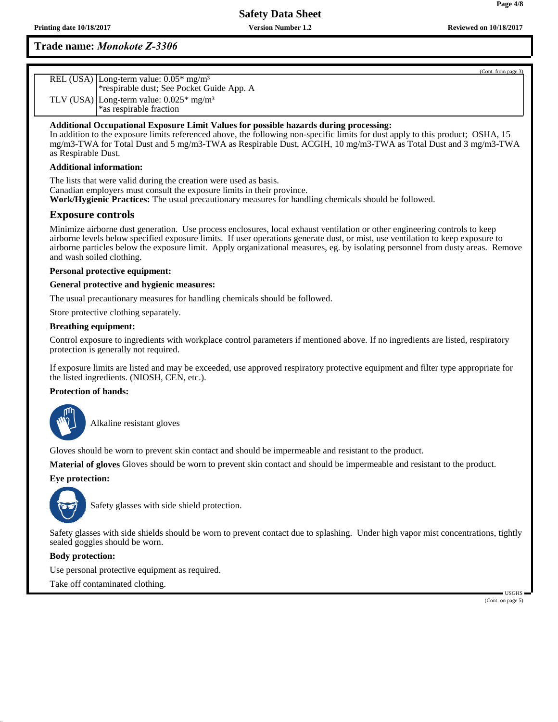**Version Number 1.2**

## **Trade name:** *Monokote Z-3306*

| REL (USA) Long-term value: 0.05* mg/m <sup>3</sup><br>*respirable dust; See Pocket Guide App. A |
|-------------------------------------------------------------------------------------------------|
| TLV (USA) Long-term value: $0.025*$ mg/m <sup>3</sup><br>*as respirable fraction                |
|                                                                                                 |

## **Additional Occupational Exposure Limit Values for possible hazards during processing:**

In addition to the exposure limits referenced above, the following non-specific limits for dust apply to this product; OSHA, 15 mg/m3-TWA for Total Dust and 5 mg/m3-TWA as Respirable Dust, ACGIH, 10 mg/m3-TWA as Total Dust and 3 mg/m3-TWA as Respirable Dust.

#### **Additional information:**

The lists that were valid during the creation were used as basis. Canadian employers must consult the exposure limits in their province. **Work/Hygienic Practices:** The usual precautionary measures for handling chemicals should be followed.

## **Exposure controls**

Minimize airborne dust generation. Use process enclosures, local exhaust ventilation or other engineering controls to keep airborne levels below specified exposure limits. If user operations generate dust, or mist, use ventilation to keep exposure to airborne particles below the exposure limit. Apply organizational measures, eg. by isolating personnel from dusty areas. Remove and wash soiled clothing.

#### **Personal protective equipment:**

#### **General protective and hygienic measures:**

The usual precautionary measures for handling chemicals should be followed.

Store protective clothing separately.

#### **Breathing equipment:**

Control exposure to ingredients with workplace control parameters if mentioned above. If no ingredients are listed, respiratory protection is generally not required.

If exposure limits are listed and may be exceeded, use approved respiratory protective equipment and filter type appropriate for the listed ingredients. (NIOSH, CEN, etc.).

## **Protection of hands:**



\_SAlkaline resistant gloves

Gloves should be worn to prevent skin contact and should be impermeable and resistant to the product.

**Material of gloves** Gloves should be worn to prevent skin contact and should be impermeable and resistant to the product.

#### **Eye protection:**



Safety glasses with side shield protection.

Safety glasses with side shields should be worn to prevent contact due to splashing. Under high vapor mist concentrations, tightly sealed goggles should be worn.

#### **Body protection:**

Use personal protective equipment as required.

Take off contaminated clothing.

 USGHS (Cont. on page 5)

(Cont. from page 3)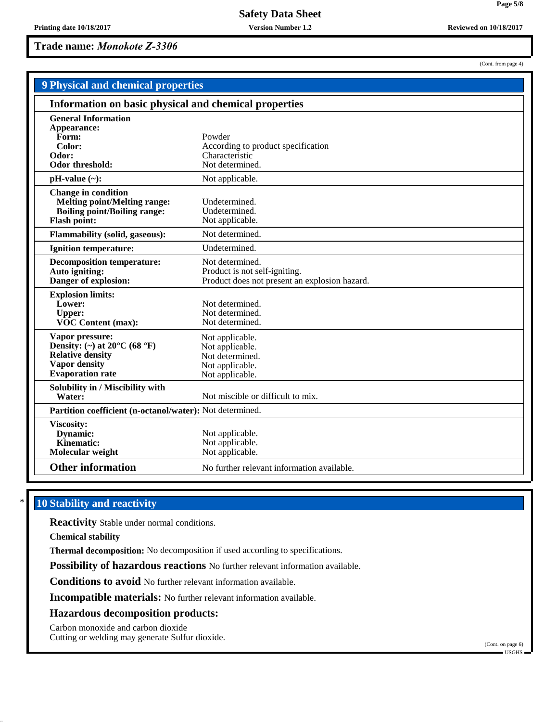**Version Number 1.2**

**Trade name:** *Monokote Z-3306*

(Cont. from page 4)

**Page 5/8**

| <b>9 Physical and chemical properties</b>                                                                                                         |                                                                                                   |  |
|---------------------------------------------------------------------------------------------------------------------------------------------------|---------------------------------------------------------------------------------------------------|--|
| Information on basic physical and chemical properties                                                                                             |                                                                                                   |  |
| <b>General Information</b><br>Appearance:<br>Form:<br>Color:<br>Odor:<br><b>Odor threshold:</b>                                                   | Powder<br>According to product specification<br>Characteristic<br>Not determined.                 |  |
| $pH-value$ (~):                                                                                                                                   | Not applicable.                                                                                   |  |
| <b>Change in condition</b><br><b>Melting point/Melting range:</b><br><b>Boiling point/Boiling range:</b><br><b>Flash point:</b>                   | Undetermined.<br>Undetermined.<br>Not applicable.                                                 |  |
| Flammability (solid, gaseous):                                                                                                                    | Not determined.                                                                                   |  |
| <b>Ignition temperature:</b>                                                                                                                      | Undetermined.                                                                                     |  |
| <b>Decomposition temperature:</b><br>Auto igniting:<br>Danger of explosion:                                                                       | Not determined.<br>Product is not self-igniting.<br>Product does not present an explosion hazard. |  |
| <b>Explosion limits:</b><br>Lower:<br><b>Upper:</b><br><b>VOC Content (max):</b>                                                                  | Not determined.<br>Not determined.<br>Not determined.                                             |  |
| Vapor pressure:<br>Density: (~) at $20^{\circ}$ C (68 $^{\circ}$ F)<br><b>Relative density</b><br><b>Vapor density</b><br><b>Evaporation</b> rate | Not applicable.<br>Not applicable.<br>Not determined.<br>Not applicable.<br>Not applicable.       |  |
| Solubility in / Miscibility with<br>Water:                                                                                                        | Not miscible or difficult to mix.                                                                 |  |
| Partition coefficient (n-octanol/water): Not determined.                                                                                          |                                                                                                   |  |
| Viscosity:<br>Dynamic:<br>Kinematic:<br>Molecular weight                                                                                          | Not applicable.<br>Not applicable.<br>Not applicable.                                             |  |
| <b>Other information</b>                                                                                                                          | No further relevant information available.                                                        |  |

## **10 Stability and reactivity**

**Reactivity** Stable under normal conditions.

**Chemical stability**

**Thermal decomposition:** No decomposition if used according to specifications.

**Possibility of hazardous reactions** No further relevant information available.

**Conditions to avoid** No further relevant information available.

**Incompatible materials:** No further relevant information available.

### **Hazardous decomposition products:**

Carbon monoxide and carbon dioxide

Cutting or welding may generate Sulfur dioxide.

(Cont. on page 6) USGHS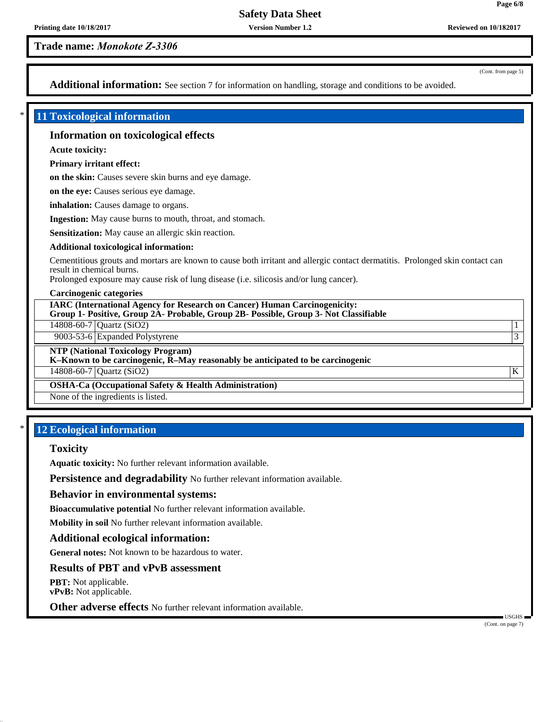**Version Number 1.2**

**Trade name:** *Monokote Z-3306*

(Cont. from page 5)

**Page 6/8**

Additional information: See section 7 for information on handling, storage and conditions to be avoided.

## \* **11 Toxicological information**

## **Information on toxicological effects**

**Acute toxicity:**

**Primary irritant effect:**

**on the skin:** Causes severe skin burns and eye damage.

**on the eye:** Causes serious eye damage.

**inhalation:** Causes damage to organs.

**Ingestion:** May cause burns to mouth, throat, and stomach.

**Sensitization:** May cause an allergic skin reaction.

#### **Additional toxicological information:**

Cementitious grouts and mortars are known to cause both irritant and allergic contact dermatitis. Prolonged skin contact can result in chemical burns.

Prolonged exposure may cause risk of lung disease (i.e. silicosis and/or lung cancer).

#### **Carcinogenic categories**

**IARC (International Agency for Research on Cancer) Human Carcinogenicity: Group 1- Positive, Group 2A- Probable, Group 2B- Possible, Group 3- Not Classifiable**

14808-60-7 Quartz (SiO2) 1

9003-53-6 Expanded Polystyrene 3

**NTP (National Toxicology Program)**

**K–Known to be carcinogenic, R–May reasonably be anticipated to be carcinogenic**

 $14808-60-7$  Quartz (SiO2) K

**OSHA-Ca (Occupational Safety & Health Administration)**

None of the ingredients is listed.

## **12 Ecological information**

## **Toxicity**

**Aquatic toxicity:** No further relevant information available.

**Persistence and degradability** No further relevant information available.

#### **Behavior in environmental systems:**

**Bioaccumulative potential** No further relevant information available.

**Mobility in soil** No further relevant information available.

#### **Additional ecological information:**

**General notes:** Not known to be hazardous to water.

## **Results of PBT and vPvB assessment**

**PBT:** Not applicable. **vPvB:** Not applicable.

**Other adverse effects** No further relevant information available.

(Cont. on page 7)

USGHS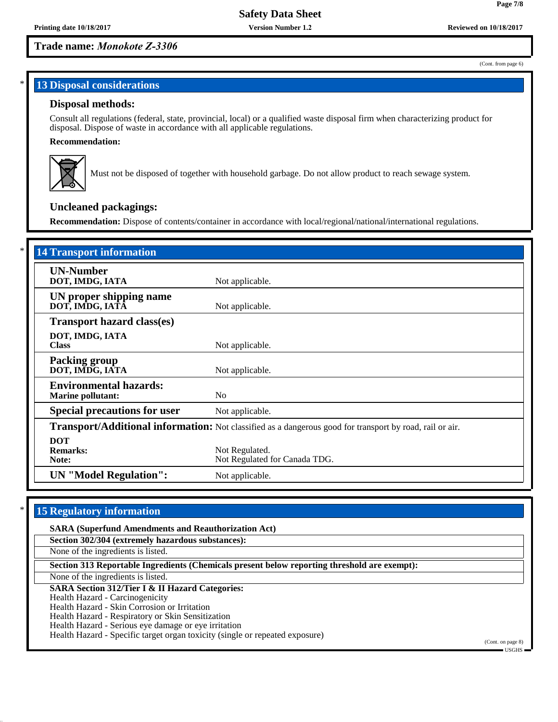**Version Number 1.2**

## **Trade name:** *Monokote Z-3306*

### (Cont. from page 6)

**Page 7/8**

## **13 Disposal considerations**

## **Disposal methods:**

Consult all regulations (federal, state, provincial, local) or a qualified waste disposal firm when characterizing product for disposal. Dispose of waste in accordance with all applicable regulations.

## **Recommendation:**



Must not be disposed of together with household garbage. Do not allow product to reach sewage system.

# **Uncleaned packagings:**

**Recommendation:** Dispose of contents/container in accordance with local/regional/national/international regulations.

| <b>14 Transport information</b>                                                                                 |                                                 |
|-----------------------------------------------------------------------------------------------------------------|-------------------------------------------------|
| <b>UN-Number</b><br>DOT, IMDG, IATA                                                                             | Not applicable.                                 |
| UN proper shipping name<br>DOT, IMDG, IATĀ                                                                      | Not applicable.                                 |
| <b>Transport hazard class(es)</b>                                                                               |                                                 |
| DOT, IMDG, IATA<br><b>Class</b>                                                                                 | Not applicable.                                 |
| <b>Packing group</b><br>DOT, IMDG, IATA                                                                         | Not applicable.                                 |
| <b>Environmental hazards:</b><br><b>Marine pollutant:</b>                                                       | N <sub>0</sub>                                  |
| <b>Special precautions for user</b>                                                                             | Not applicable.                                 |
| <b>Transport/Additional information:</b> Not classified as a dangerous good for transport by road, rail or air. |                                                 |
| <b>DOT</b><br><b>Remarks:</b><br>Note:                                                                          | Not Regulated.<br>Not Regulated for Canada TDG. |
| <b>UN</b> "Model Regulation":                                                                                   | Not applicable.                                 |

# **15 Regulatory information**

| <b>SARA (Superfund Amendments and Reauthorization Act)</b>                                   |                                                          |
|----------------------------------------------------------------------------------------------|----------------------------------------------------------|
| Section 302/304 (extremely hazardous substances):                                            |                                                          |
| None of the ingredients is listed.                                                           |                                                          |
| Section 313 Reportable Ingredients (Chemicals present below reporting threshold are exempt): |                                                          |
| None of the ingredients is listed.                                                           |                                                          |
| <b>SARA Section 312/Tier I &amp; II Hazard Categories:</b>                                   |                                                          |
| Health Hazard - Carcinogenicity                                                              |                                                          |
| Health Hazard - Skin Corrosion or Irritation                                                 |                                                          |
| Health Hazard - Respiratory or Skin Sensitization                                            |                                                          |
| Health Hazard - Serious eye damage or eye irritation                                         |                                                          |
| Health Hazard - Specific target organ toxicity (single or repeated exposure)                 |                                                          |
|                                                                                              | (Cont. on page 8)<br>$\blacksquare$ USGHS $\blacksquare$ |